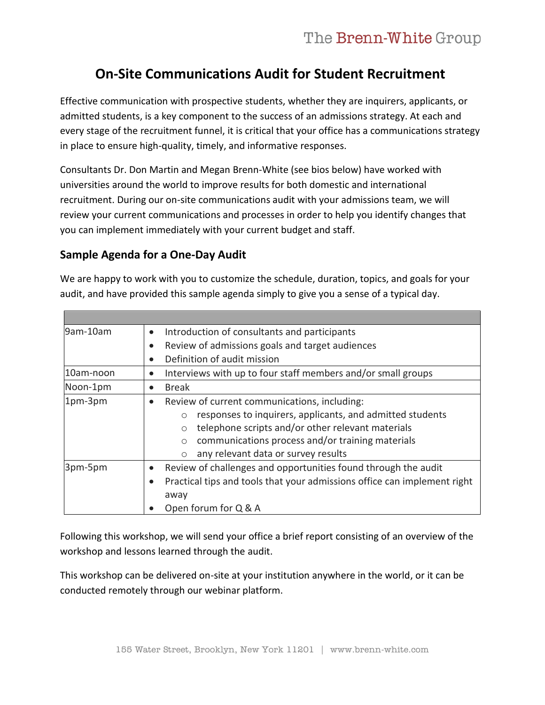# **On-Site Communications Audit for Student Recruitment**

Effective communication with prospective students, whether they are inquirers, applicants, or admitted students, is a key component to the success of an admissions strategy. At each and every stage of the recruitment funnel, it is critical that your office has a communications strategy in place to ensure high-quality, timely, and informative responses.

Consultants Dr. Don Martin and Megan Brenn-White (see bios below) have worked with universities around the world to improve results for both domestic and international recruitment. During our on-site communications audit with your admissions team, we will review your current communications and processes in order to help you identify changes that you can implement immediately with your current budget and staff.

## **Sample Agenda for a One-Day Audit**

We are happy to work with you to customize the schedule, duration, topics, and goals for your audit, and have provided this sample agenda simply to give you a sense of a typical day.

| 9am-10am  | Introduction of consultants and participants<br>$\bullet$                                                                                                                                                                                                                                             |
|-----------|-------------------------------------------------------------------------------------------------------------------------------------------------------------------------------------------------------------------------------------------------------------------------------------------------------|
|           | Review of admissions goals and target audiences<br>$\bullet$                                                                                                                                                                                                                                          |
|           | Definition of audit mission                                                                                                                                                                                                                                                                           |
| 10am-noon | Interviews with up to four staff members and/or small groups                                                                                                                                                                                                                                          |
| Noon-1pm  | <b>Break</b>                                                                                                                                                                                                                                                                                          |
| 1pm-3pm   | Review of current communications, including:<br>responses to inquirers, applicants, and admitted students<br>$\circ$<br>telephone scripts and/or other relevant materials<br>$\circ$<br>communications process and/or training materials<br>$\circ$<br>any relevant data or survey results<br>$\circ$ |
| 3pm-5pm   | Review of challenges and opportunities found through the audit<br>Practical tips and tools that your admissions office can implement right<br>away<br>Open forum for Q & A                                                                                                                            |

Following this workshop, we will send your office a brief report consisting of an overview of the workshop and lessons learned through the audit.

This workshop can be delivered on-site at your institution anywhere in the world, or it can be conducted remotely through our webinar platform.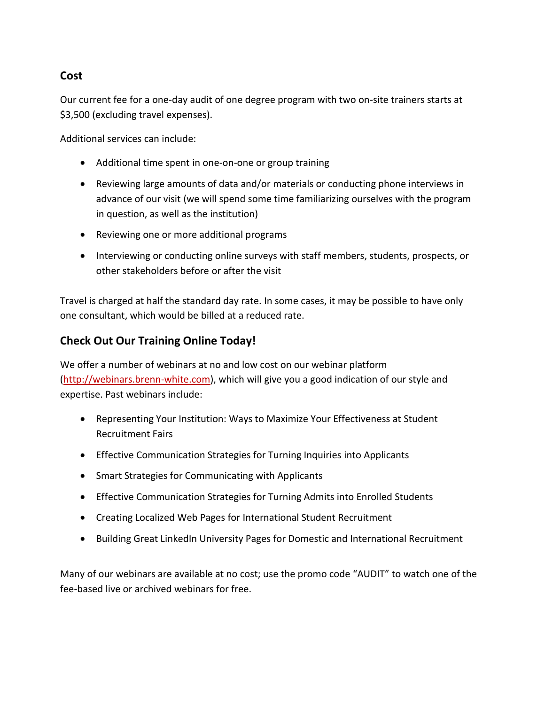## **Cost**

Our current fee for a one-day audit of one degree program with two on-site trainers starts at \$3,500 (excluding travel expenses).

Additional services can include:

- Additional time spent in one-on-one or group training
- Reviewing large amounts of data and/or materials or conducting phone interviews in advance of our visit (we will spend some time familiarizing ourselves with the program in question, as well as the institution)
- Reviewing one or more additional programs
- Interviewing or conducting online surveys with staff members, students, prospects, or other stakeholders before or after the visit

Travel is charged at half the standard day rate. In some cases, it may be possible to have only one consultant, which would be billed at a reduced rate.

# **Check Out Our Training Online Today!**

We offer a number of webinars at no and low cost on our webinar platform [\(http://webinars.brenn-white.com\)](http://webinars.brenn-white.com/), which will give you a good indication of our style and expertise. Past webinars include:

- Representing Your Institution: Ways to Maximize Your Effectiveness at Student Recruitment Fairs
- Effective Communication Strategies for Turning Inquiries into Applicants
- Smart Strategies for Communicating with Applicants
- Effective Communication Strategies for Turning Admits into Enrolled Students
- Creating Localized Web Pages for International Student Recruitment
- [Building Great LinkedIn University Pages for Domestic and International Recruitment](http://webinars.brenn-white.com/session.php?id=13041)

Many of our webinars are available at no cost; use the promo code "AUDIT" to watch one of the fee-based live or archived webinars for free.